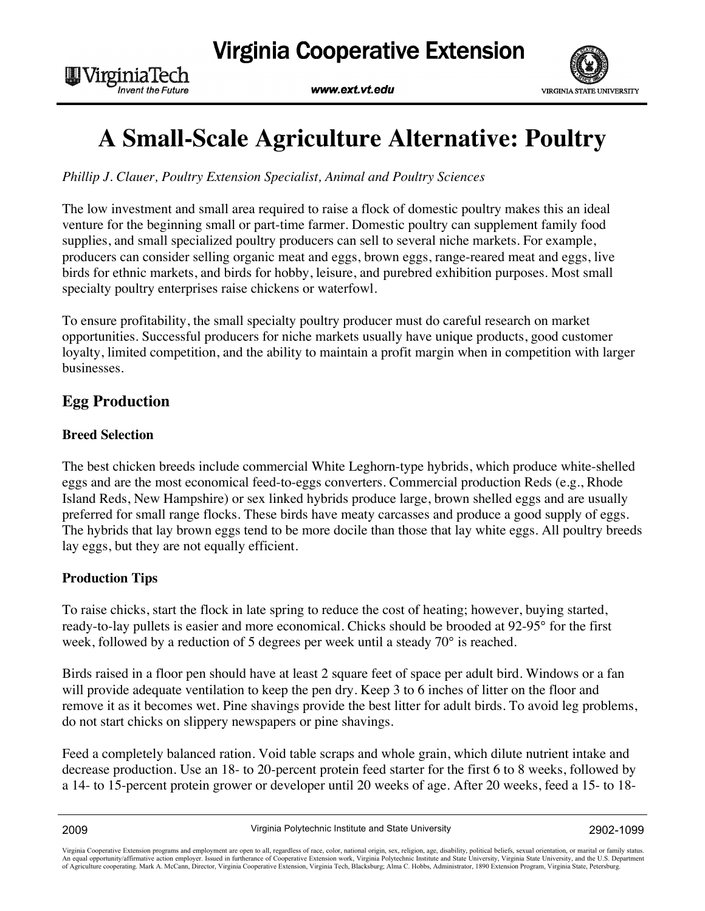

# **A Small-Scale Agriculture Alternative: Poultry**

*Phillip J. Clauer, Poultry Extension Specialist, Animal and Poultry Sciences*

The low investment and small area required to raise a flock of domestic poultry makes this an ideal venture for the beginning small or part-time farmer. Domestic poultry can supplement family food supplies, and small specialized poultry producers can sell to several niche markets. For example, producers can consider selling organic meat and eggs, brown eggs, range-reared meat and eggs, live birds for ethnic markets, and birds for hobby, leisure, and purebred exhibition purposes. Most small specialty poultry enterprises raise chickens or waterfowl.

To ensure profitability, the small specialty poultry producer must do careful research on market opportunities. Successful producers for niche markets usually have unique products, good customer loyalty, limited competition, and the ability to maintain a profit margin when in competition with larger businesses.

# **Egg Production**

W Virginia Tech

**Invent the Future** 

#### **Breed Selection**

The best chicken breeds include commercial White Leghorn-type hybrids, which produce white-shelled eggs and are the most economical feed-to-eggs converters. Commercial production Reds (e.g., Rhode Island Reds, New Hampshire) or sex linked hybrids produce large, brown shelled eggs and are usually preferred for small range flocks. These birds have meaty carcasses and produce a good supply of eggs. The hybrids that lay brown eggs tend to be more docile than those that lay white eggs. All poultry breeds lay eggs, but they are not equally efficient.

#### **Production Tips**

To raise chicks, start the flock in late spring to reduce the cost of heating; however, buying started, ready-to-lay pullets is easier and more economical. Chicks should be brooded at 92-95° for the first week, followed by a reduction of 5 degrees per week until a steady 70° is reached.

Birds raised in a floor pen should have at least 2 square feet of space per adult bird. Windows or a fan will provide adequate ventilation to keep the pen dry. Keep 3 to 6 inches of litter on the floor and remove it as it becomes wet. Pine shavings provide the best litter for adult birds. To avoid leg problems, do not start chicks on slippery newspapers or pine shavings.

Feed a completely balanced ration. Void table scraps and whole grain, which dilute nutrient intake and decrease production. Use an 18- to 20-percent protein feed starter for the first 6 to 8 weeks, followed by a 14- to 15-percent protein grower or developer until 20 weeks of age. After 20 weeks, feed a 15- to 18-

Virginia Cooperative Extension programs and employment are open to all, regardless of race, color, national origin, sex, religion, age, disability, political beliefs, sexual orientation, or marital or family status. An equal opportunity/affirmative action employer. Issued in furtherance of Cooperative Extension work, Virginia Polytechnic Institute and State University, Virginia State University, and the U.S. Department<br>of Agriculture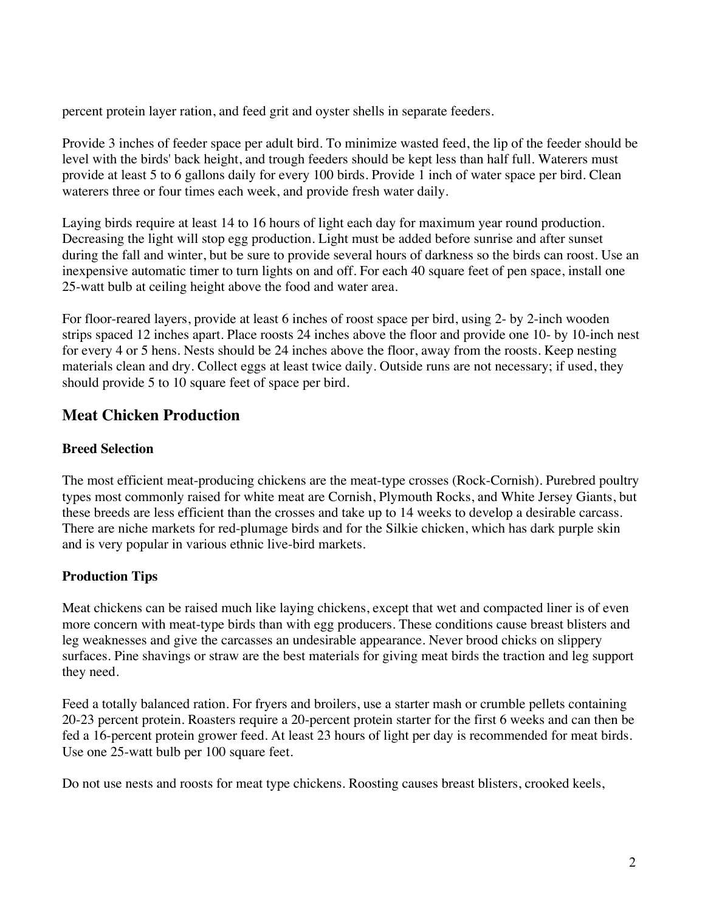percent protein layer ration, and feed grit and oyster shells in separate feeders.

Provide 3 inches of feeder space per adult bird. To minimize wasted feed, the lip of the feeder should be level with the birds' back height, and trough feeders should be kept less than half full. Waterers must provide at least 5 to 6 gallons daily for every 100 birds. Provide 1 inch of water space per bird. Clean waterers three or four times each week, and provide fresh water daily.

Laying birds require at least 14 to 16 hours of light each day for maximum year round production. Decreasing the light will stop egg production. Light must be added before sunrise and after sunset during the fall and winter, but be sure to provide several hours of darkness so the birds can roost. Use an inexpensive automatic timer to turn lights on and off. For each 40 square feet of pen space, install one 25-watt bulb at ceiling height above the food and water area.

For floor-reared layers, provide at least 6 inches of roost space per bird, using 2- by 2-inch wooden strips spaced 12 inches apart. Place roosts 24 inches above the floor and provide one 10- by 10-inch nest for every 4 or 5 hens. Nests should be 24 inches above the floor, away from the roosts. Keep nesting materials clean and dry. Collect eggs at least twice daily. Outside runs are not necessary; if used, they should provide 5 to 10 square feet of space per bird.

# **Meat Chicken Production**

## **Breed Selection**

The most efficient meat-producing chickens are the meat-type crosses (Rock-Cornish). Purebred poultry types most commonly raised for white meat are Cornish, Plymouth Rocks, and White Jersey Giants, but these breeds are less efficient than the crosses and take up to 14 weeks to develop a desirable carcass. There are niche markets for red-plumage birds and for the Silkie chicken, which has dark purple skin and is very popular in various ethnic live-bird markets.

## **Production Tips**

Meat chickens can be raised much like laying chickens, except that wet and compacted liner is of even more concern with meat-type birds than with egg producers. These conditions cause breast blisters and leg weaknesses and give the carcasses an undesirable appearance. Never brood chicks on slippery surfaces. Pine shavings or straw are the best materials for giving meat birds the traction and leg support they need.

Feed a totally balanced ration. For fryers and broilers, use a starter mash or crumble pellets containing 20-23 percent protein. Roasters require a 20-percent protein starter for the first 6 weeks and can then be fed a 16-percent protein grower feed. At least 23 hours of light per day is recommended for meat birds. Use one 25-watt bulb per 100 square feet.

Do not use nests and roosts for meat type chickens. Roosting causes breast blisters, crooked keels,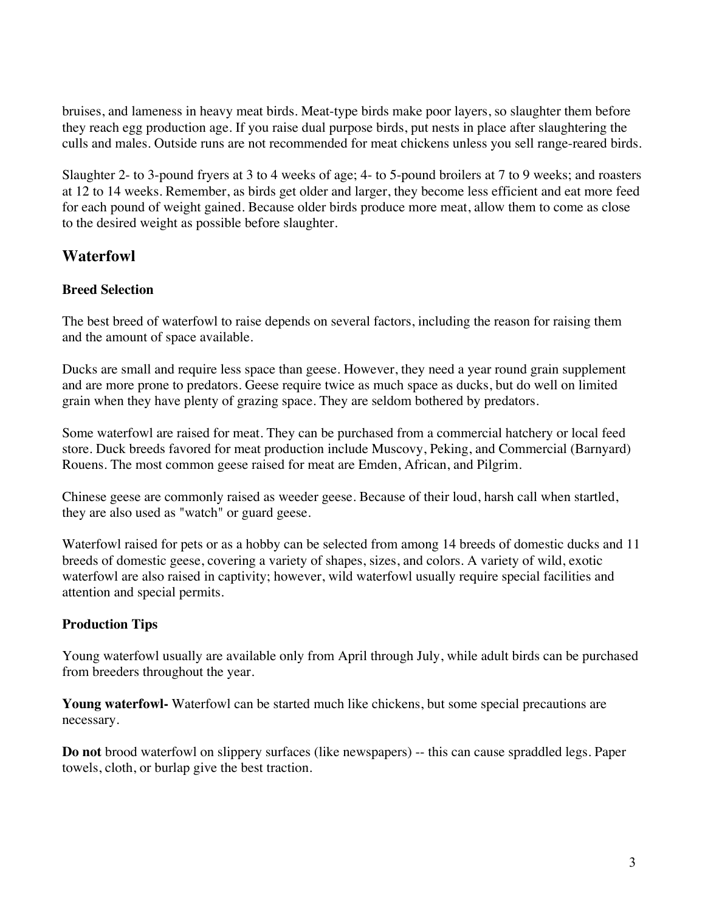bruises, and lameness in heavy meat birds. Meat-type birds make poor layers, so slaughter them before they reach egg production age. If you raise dual purpose birds, put nests in place after slaughtering the culls and males. Outside runs are not recommended for meat chickens unless you sell range-reared birds.

Slaughter 2- to 3-pound fryers at 3 to 4 weeks of age; 4- to 5-pound broilers at 7 to 9 weeks; and roasters at 12 to 14 weeks. Remember, as birds get older and larger, they become less efficient and eat more feed for each pound of weight gained. Because older birds produce more meat, allow them to come as close to the desired weight as possible before slaughter.

# **Waterfowl**

## **Breed Selection**

The best breed of waterfowl to raise depends on several factors, including the reason for raising them and the amount of space available.

Ducks are small and require less space than geese. However, they need a year round grain supplement and are more prone to predators. Geese require twice as much space as ducks, but do well on limited grain when they have plenty of grazing space. They are seldom bothered by predators.

Some waterfowl are raised for meat. They can be purchased from a commercial hatchery or local feed store. Duck breeds favored for meat production include Muscovy, Peking, and Commercial (Barnyard) Rouens. The most common geese raised for meat are Emden, African, and Pilgrim.

Chinese geese are commonly raised as weeder geese. Because of their loud, harsh call when startled, they are also used as "watch" or guard geese.

Waterfowl raised for pets or as a hobby can be selected from among 14 breeds of domestic ducks and 11 breeds of domestic geese, covering a variety of shapes, sizes, and colors. A variety of wild, exotic waterfowl are also raised in captivity; however, wild waterfowl usually require special facilities and attention and special permits.

## **Production Tips**

Young waterfowl usually are available only from April through July, while adult birds can be purchased from breeders throughout the year.

**Young waterfowl-** Waterfowl can be started much like chickens, but some special precautions are necessary.

**Do not** brood waterfowl on slippery surfaces (like newspapers) -- this can cause spraddled legs. Paper towels, cloth, or burlap give the best traction.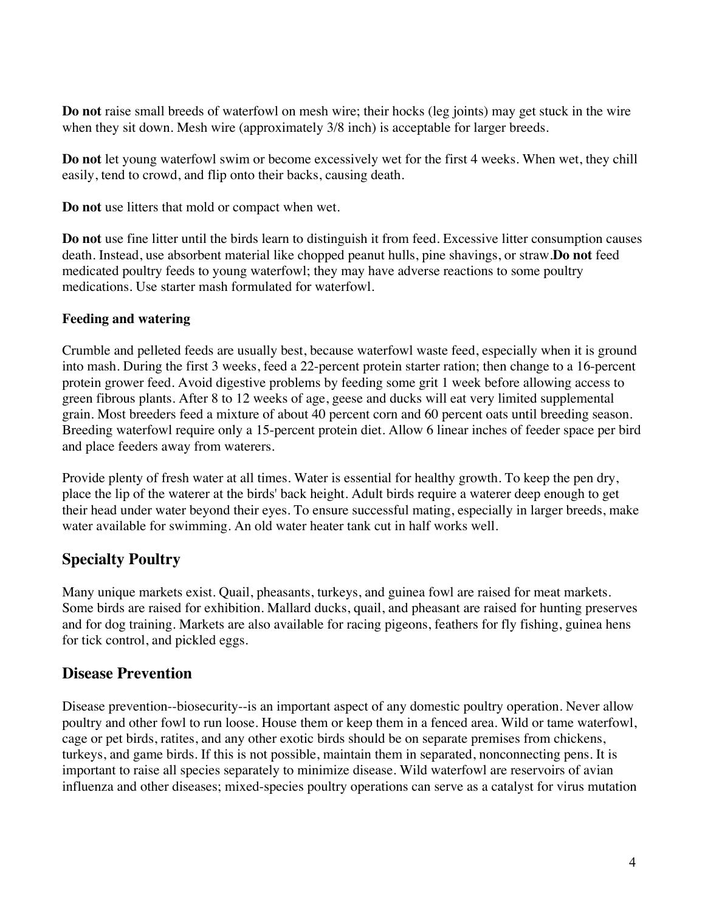**Do not** raise small breeds of waterfowl on mesh wire; their hocks (leg joints) may get stuck in the wire when they sit down. Mesh wire (approximately  $3/8$  inch) is acceptable for larger breeds.

**Do not** let young waterfowl swim or become excessively wet for the first 4 weeks. When wet, they chill easily, tend to crowd, and flip onto their backs, causing death.

**Do not** use litters that mold or compact when wet.

**Do not** use fine litter until the birds learn to distinguish it from feed. Excessive litter consumption causes death. Instead, use absorbent material like chopped peanut hulls, pine shavings, or straw.**Do not** feed medicated poultry feeds to young waterfowl; they may have adverse reactions to some poultry medications. Use starter mash formulated for waterfowl.

## **Feeding and watering**

Crumble and pelleted feeds are usually best, because waterfowl waste feed, especially when it is ground into mash. During the first 3 weeks, feed a 22-percent protein starter ration; then change to a 16-percent protein grower feed. Avoid digestive problems by feeding some grit 1 week before allowing access to green fibrous plants. After 8 to 12 weeks of age, geese and ducks will eat very limited supplemental grain. Most breeders feed a mixture of about 40 percent corn and 60 percent oats until breeding season. Breeding waterfowl require only a 15-percent protein diet. Allow 6 linear inches of feeder space per bird and place feeders away from waterers.

Provide plenty of fresh water at all times. Water is essential for healthy growth. To keep the pen dry, place the lip of the waterer at the birds' back height. Adult birds require a waterer deep enough to get their head under water beyond their eyes. To ensure successful mating, especially in larger breeds, make water available for swimming. An old water heater tank cut in half works well.

# **Specialty Poultry**

Many unique markets exist. Quail, pheasants, turkeys, and guinea fowl are raised for meat markets. Some birds are raised for exhibition. Mallard ducks, quail, and pheasant are raised for hunting preserves and for dog training. Markets are also available for racing pigeons, feathers for fly fishing, guinea hens for tick control, and pickled eggs.

# **Disease Prevention**

Disease prevention--biosecurity--is an important aspect of any domestic poultry operation. Never allow poultry and other fowl to run loose. House them or keep them in a fenced area. Wild or tame waterfowl, cage or pet birds, ratites, and any other exotic birds should be on separate premises from chickens, turkeys, and game birds. If this is not possible, maintain them in separated, nonconnecting pens. It is important to raise all species separately to minimize disease. Wild waterfowl are reservoirs of avian influenza and other diseases; mixed-species poultry operations can serve as a catalyst for virus mutation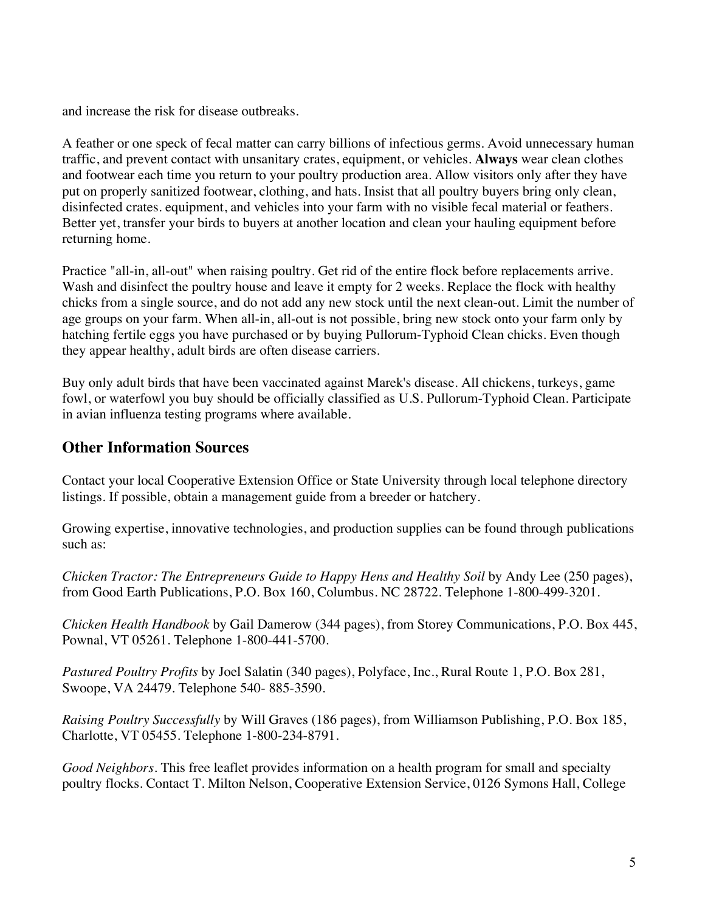and increase the risk for disease outbreaks.

A feather or one speck of fecal matter can carry billions of infectious germs. Avoid unnecessary human traffic, and prevent contact with unsanitary crates, equipment, or vehicles. **Always** wear clean clothes and footwear each time you return to your poultry production area. Allow visitors only after they have put on properly sanitized footwear, clothing, and hats. Insist that all poultry buyers bring only clean, disinfected crates. equipment, and vehicles into your farm with no visible fecal material or feathers. Better yet, transfer your birds to buyers at another location and clean your hauling equipment before returning home.

Practice "all-in, all-out" when raising poultry. Get rid of the entire flock before replacements arrive. Wash and disinfect the poultry house and leave it empty for 2 weeks. Replace the flock with healthy chicks from a single source, and do not add any new stock until the next clean-out. Limit the number of age groups on your farm. When all-in, all-out is not possible, bring new stock onto your farm only by hatching fertile eggs you have purchased or by buying Pullorum-Typhoid Clean chicks. Even though they appear healthy, adult birds are often disease carriers.

Buy only adult birds that have been vaccinated against Marek's disease. All chickens, turkeys, game fowl, or waterfowl you buy should be officially classified as U.S. Pullorum-Typhoid Clean. Participate in avian influenza testing programs where available.

# **Other Information Sources**

Contact your local Cooperative Extension Office or State University through local telephone directory listings. If possible, obtain a management guide from a breeder or hatchery.

Growing expertise, innovative technologies, and production supplies can be found through publications such as:

*Chicken Tractor: The Entrepreneurs Guide to Happy Hens and Healthy Soil* by Andy Lee (250 pages), from Good Earth Publications, P.O. Box 160, Columbus. NC 28722. Telephone 1-800-499-3201.

*Chicken Health Handbook* by Gail Damerow (344 pages), from Storey Communications, P.O. Box 445, Pownal, VT 05261. Telephone 1-800-441-5700.

*Pastured Poultry Profits* by Joel Salatin (340 pages), Polyface, Inc., Rural Route 1, P.O. Box 281, Swoope, VA 24479. Telephone 540- 885-3590.

*Raising Poultry Successfully* by Will Graves (186 pages), from Williamson Publishing, P.O. Box 185, Charlotte, VT 05455. Telephone 1-800-234-8791.

*Good Neighbors.* This free leaflet provides information on a health program for small and specialty poultry flocks. Contact T. Milton Nelson, Cooperative Extension Service, 0126 Symons Hall, College